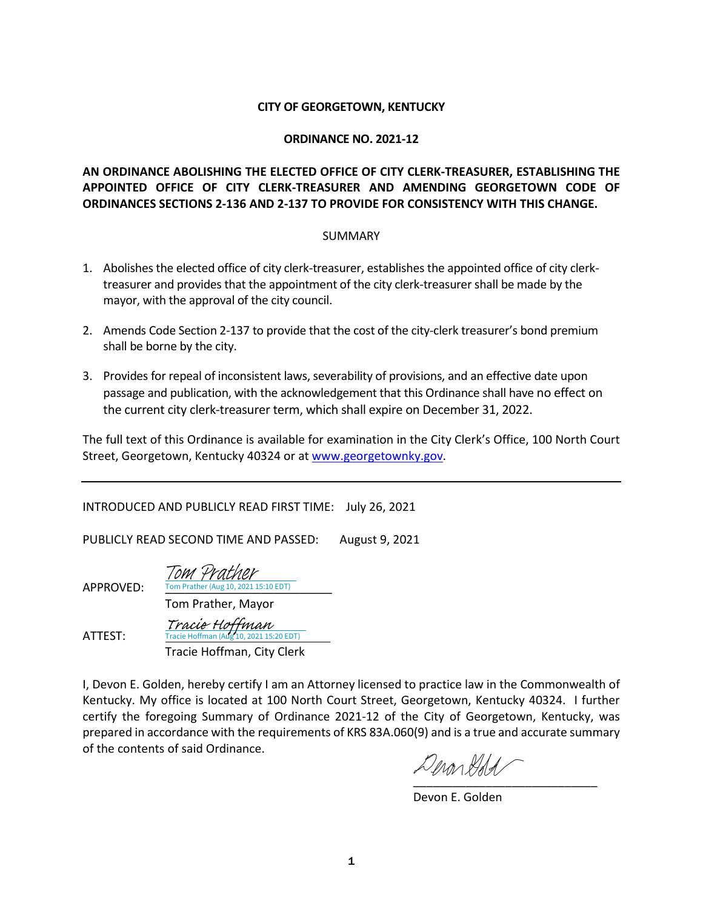#### **CITY OF GEORGETOWN, KENTUCKY**

#### **ORDINANCE NO. 2021-12**

# **AN ORDINANCE ABOLISHING THE ELECTED OFFICE OF CITY CLERK-TREASURER, ESTABLISHING THE APPOINTED OFFICE OF CITY CLERK-TREASURER AND AMENDING GEORGETOWN CODE OF ORDINANCES SECTIONS 2-136 AND 2-137 TO PROVIDE FOR CONSISTENCY WITH THIS CHANGE.**

#### SUMMARY

- 1. Abolishes the elected office of city clerk-treasurer, establishes the appointed office of city clerktreasurer and provides that the appointment of the city clerk-treasurer shall be made by the mayor, with the approval of the city council.
- 2. Amends Code Section 2-137 to provide that the cost of the city-clerk treasurer's bond premium shall be borne by the city.
- 3. Provides for repeal of inconsistent laws, severability of provisions, and an effective date upon passage and publication, with the acknowledgement that this Ordinance shall have no effect on the current city clerk-treasurer term, which shall expire on December 31, 2022.

The full text of this Ordinance is available for examination in the City Clerk's Office, 100 North Court Street, Georgetown, Kentucky 40324 or a[t www.georgetownky.gov.](http://www.georgetownky.gov/)

INTRODUCED AND PUBLICLY READ FIRST TIME: July 26, 2021

PUBLICLY READ SECOND TIME AND PASSED: August 9, 2021

Tom Prather

APPROVED: Tom Prather (Aug 10, 2021 15:10 EDT)

Tom Prather, Mayor

ATTEST: Tracie Hoffman, City Clerk Tracie Hoffman (Aug 10, 2021 15:20 EDT) [Tracie Hoffman](https://na1.documents.adobe.com/verifier?tx=CBJCHBCAABAA_RrSQdHxwYV9o6A5xStR4ThKxlHx5rER)

I, Devon E. Golden, hereby certify I am an Attorney licensed to practice law in the Commonwealth of Kentucky. My office is located at 100 North Court Street, Georgetown, Kentucky 40324. I further certify the foregoing Summary of Ordinance 2021-12 of the City of Georgetown, Kentucky, was prepared in accordance with the requirements of KRS 83A.060(9) and is a true and accurate summary of the contents of said Ordinance.

Inon Kidd [\\_\\_\\_\\_\\_\\_\\_\\_\\_\\_\\_\\_\\_\\_\\_\\_\\_\\_\\_\\_\\_\\_\\_\\_\\_\\_\\_\\_](https://adobefreeuserschannel.na1.documents.adobe.com/verifier?tx=CBJCHBCAABAA_RrSQdHxwYV9o6A5xStR4ThKxlHx5rER)

Devon E. Golden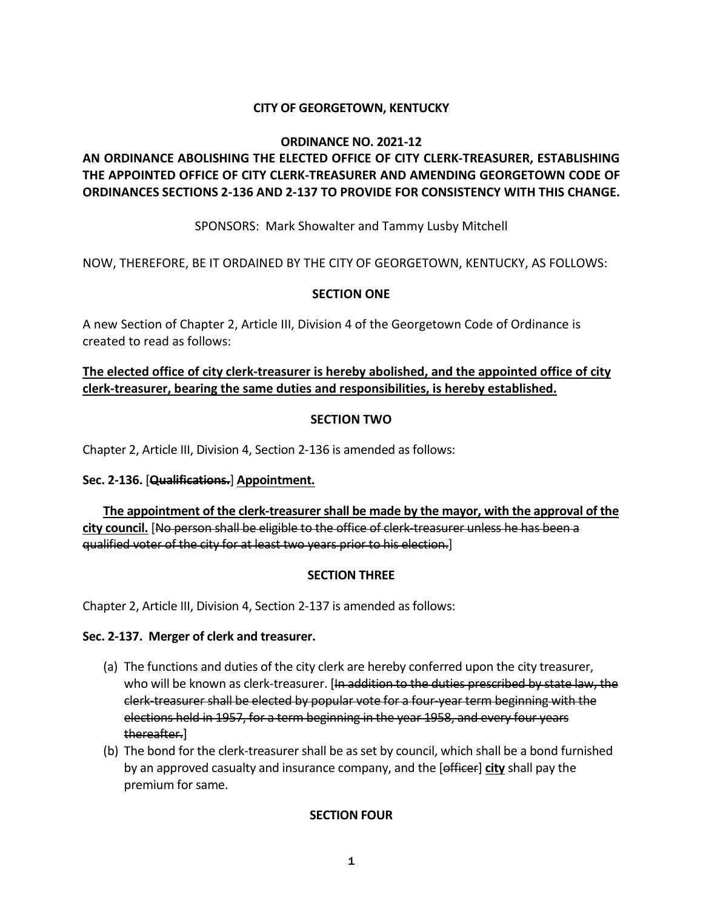# **CITY OF GEORGETOWN, KENTUCKY**

#### **ORDINANCE NO. 2021-12**

# **AN ORDINANCE ABOLISHING THE ELECTED OFFICE OF CITY CLERK-TREASURER, ESTABLISHING THE APPOINTED OFFICE OF CITY CLERK-TREASURER AND AMENDING GEORGETOWN CODE OF ORDINANCES SECTIONS 2-136 AND 2-137 TO PROVIDE FOR CONSISTENCY WITH THIS CHANGE.**

SPONSORS: Mark Showalter and Tammy Lusby Mitchell

NOW, THEREFORE, BE IT ORDAINED BY THE CITY OF GEORGETOWN, KENTUCKY, AS FOLLOWS:

# **SECTION ONE**

A new Section of Chapter 2, Article III, Division 4 of the Georgetown Code of Ordinance is created to read as follows:

# **The elected office of city clerk-treasurer is hereby abolished, and the appointed office of city clerk-treasurer, bearing the same duties and responsibilities, is hereby established.**

# **SECTION TWO**

Chapter 2, Article III, Division 4, Section 2-136 is amended as follows:

# **Sec. 2-136.** [**Qualifications.**] **Appointment.**

 **The appointment of the clerk-treasurer shall be made by the mayor, with the approval of the city council.** [No person shall be eligible to the office of clerk-treasurer unless he has been a qualified voter of the city for at least two years prior to his election.]

# **SECTION THREE**

Chapter 2, Article III, Division 4, Section 2-137 is amended as follows:

# **Sec. 2-137. Merger of clerk and treasurer.**

- (a) The functions and duties of the city clerk are hereby conferred upon the city treasurer, who will be known as clerk-treasurer. [In addition to the duties prescribed by state law, the clerk-treasurer shall be elected by popular vote for a four-year term beginning with the elections held in 1957, for a term beginning in the year 1958, and every four years thereafter.]
- (b) The bond for the clerk-treasurer shall be as set by council, which shall be a bond furnished by an approved casualty and insurance company, and the [officer] **city** shall pay the premium for same.

# **SECTION FOUR**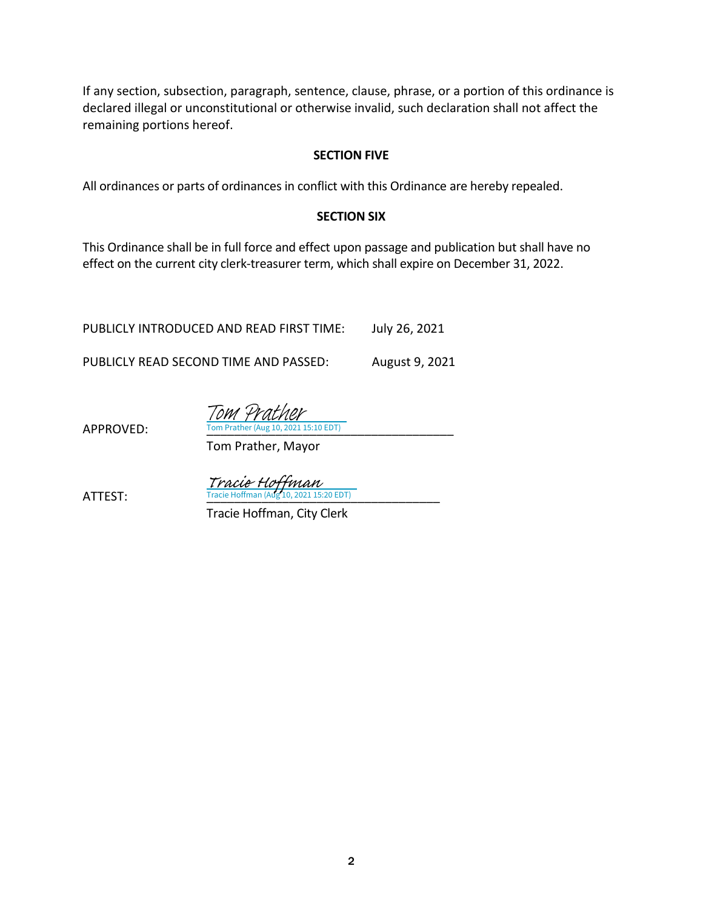If any section, subsection, paragraph, sentence, clause, phrase, or a portion of this ordinance is declared illegal or unconstitutional or otherwise invalid, such declaration shall not affect the remaining portions hereof.

#### **SECTION FIVE**

All ordinances or parts of ordinances in conflict with this Ordinance are hereby repealed.

# **SECTION SIX**

This Ordinance shall be in full force and effect upon passage and publication but shall have no effect on the current city clerk-treasurer term, which shall expire on December 31, 2022.

PUBLICLY INTRODUCED AND READ FIRST TIME: July 26, 2021

PUBLICLY READ SECOND TIME AND PASSED: August 9, 2021

APPROVED: Tom Prather (Aug 10, 2021 15:10 EDT) Tom Prather

Tom Prather, Mayor

 $Tracie~Hoffman$ <br>ATTEST: Tracie Hoffman (Aug 10, 2021 15:20 EDT)

Tracie Hoffman, City Clerk

2